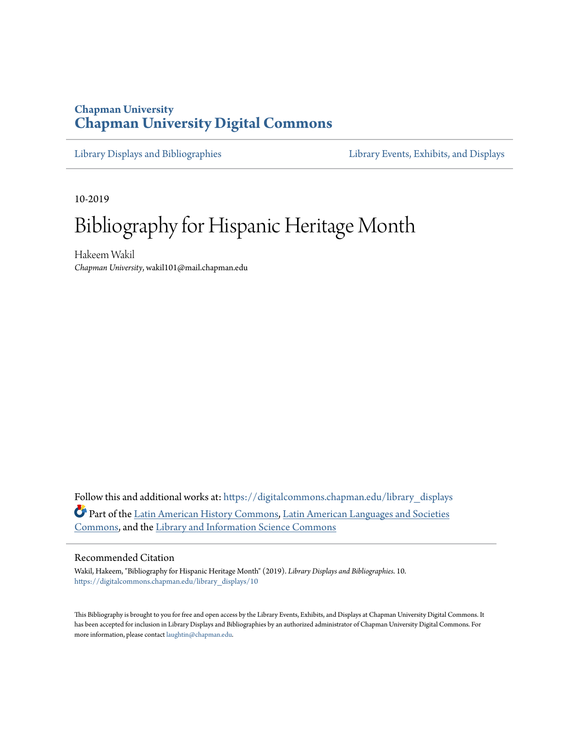## **Chapman University [Chapman University Digital Commons](https://digitalcommons.chapman.edu/?utm_source=digitalcommons.chapman.edu%2Flibrary_displays%2F10&utm_medium=PDF&utm_campaign=PDFCoverPages)**

[Library Displays and Bibliographies](https://digitalcommons.chapman.edu/library_displays?utm_source=digitalcommons.chapman.edu%2Flibrary_displays%2F10&utm_medium=PDF&utm_campaign=PDFCoverPages) [Library Events, Exhibits, and Displays](https://digitalcommons.chapman.edu/library_events?utm_source=digitalcommons.chapman.edu%2Flibrary_displays%2F10&utm_medium=PDF&utm_campaign=PDFCoverPages)

10-2019

# Bibliography for Hispanic Heritage Month

Hakeem Wakil *Chapman University*, wakil101@mail.chapman.edu

Follow this and additional works at: [https://digitalcommons.chapman.edu/library\\_displays](https://digitalcommons.chapman.edu/library_displays?utm_source=digitalcommons.chapman.edu%2Flibrary_displays%2F10&utm_medium=PDF&utm_campaign=PDFCoverPages) Part of the [Latin American History Commons,](http://network.bepress.com/hgg/discipline/494?utm_source=digitalcommons.chapman.edu%2Flibrary_displays%2F10&utm_medium=PDF&utm_campaign=PDFCoverPages) [Latin American Languages and Societies](http://network.bepress.com/hgg/discipline/483?utm_source=digitalcommons.chapman.edu%2Flibrary_displays%2F10&utm_medium=PDF&utm_campaign=PDFCoverPages) [Commons,](http://network.bepress.com/hgg/discipline/483?utm_source=digitalcommons.chapman.edu%2Flibrary_displays%2F10&utm_medium=PDF&utm_campaign=PDFCoverPages) and the [Library and Information Science Commons](http://network.bepress.com/hgg/discipline/1018?utm_source=digitalcommons.chapman.edu%2Flibrary_displays%2F10&utm_medium=PDF&utm_campaign=PDFCoverPages)

#### Recommended Citation

Wakil, Hakeem, "Bibliography for Hispanic Heritage Month" (2019). *Library Displays and Bibliographies*. 10. [https://digitalcommons.chapman.edu/library\\_displays/10](https://digitalcommons.chapman.edu/library_displays/10?utm_source=digitalcommons.chapman.edu%2Flibrary_displays%2F10&utm_medium=PDF&utm_campaign=PDFCoverPages)

This Bibliography is brought to you for free and open access by the Library Events, Exhibits, and Displays at Chapman University Digital Commons. It has been accepted for inclusion in Library Displays and Bibliographies by an authorized administrator of Chapman University Digital Commons. For more information, please contact [laughtin@chapman.edu](mailto:laughtin@chapman.edu).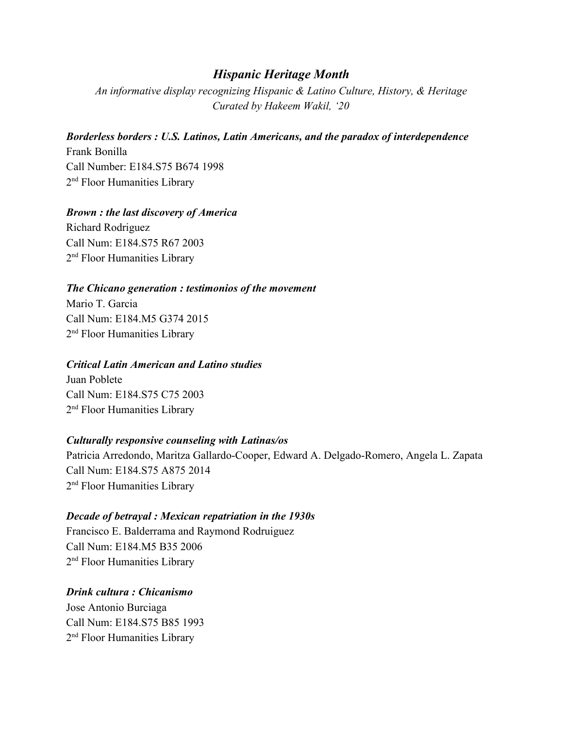## *Hispanic Heritage Month*

*An informative display recognizing Hispanic & Latino Culture, History, & Heritage Curated by Hakeem Wakil, '20*

### *Borderless borders : U.S. Latinos, Latin Americans, and the paradox of interdependence*

Frank Bonilla Call Number: E184.S75 B674 1998 2<sup>nd</sup> Floor Humanities Library

#### *Brown : the last discovery of America*

Richard Rodriguez Call Num: E184.S75 R67 2003 2<sup>nd</sup> Floor Humanities Library

#### *The Chicano generation : testimonios of the movement*

Mario T. Garcia Call Num: E184.M5 G374 2015 2<sup>nd</sup> Floor Humanities Library

#### *Critical Latin American and Latino studies*

Juan Poblete Call Num: E184.S75 C75 2003 2<sup>nd</sup> Floor Humanities Library

#### *Culturally responsive counseling with Latinas/os*

Patricia Arredondo, Maritza Gallardo-Cooper, Edward A. Delgado-Romero, Angela L. Zapata Call Num: E184.S75 A875 2014 2<sup>nd</sup> Floor Humanities Library

### *Decade of betrayal : Mexican repatriation in the 1930s*

Francisco E. Balderrama and Raymond Rodruiguez Call Num: E184.M5 B35 2006 2<sup>nd</sup> Floor Humanities Library

#### *Drink cultura : Chicanismo*

Jose Antonio Burciaga Call Num: E184.S75 B85 1993 2<sup>nd</sup> Floor Humanities Library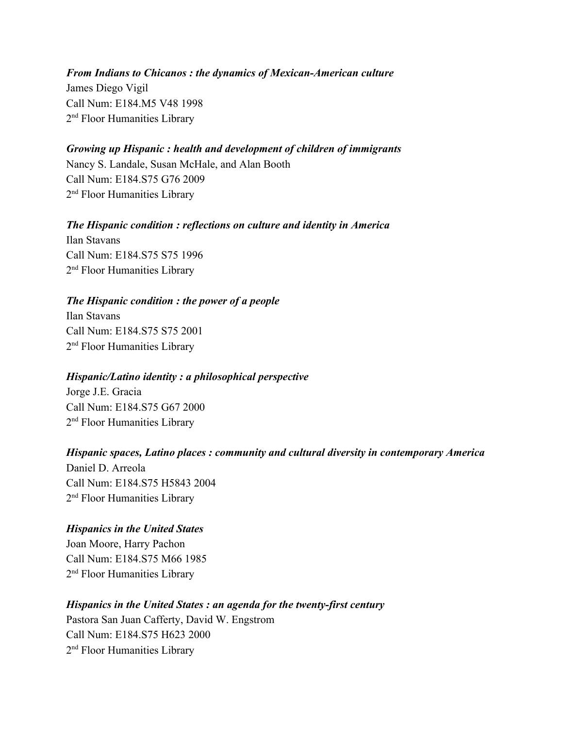*From Indians to Chicanos : the dynamics of Mexican-American culture* James Diego Vigil Call Num: E184.M5 V48 1998 2<sup>nd</sup> Floor Humanities Library

#### *Growing up Hispanic : health and development of children of immigrants*

Nancy S. Landale, Susan McHale, and Alan Booth Call Num: E184.S75 G76 2009 2<sup>nd</sup> Floor Humanities Library

*The Hispanic condition : reflections on culture and identity in America* Ilan Stavans Call Num: E184.S75 S75 1996 2<sup>nd</sup> Floor Humanities Library

#### *The Hispanic condition : the power of a people*

Ilan Stavans Call Num: E184.S75 S75 2001 2<sup>nd</sup> Floor Humanities Library

#### *Hispanic/Latino identity : a philosophical perspective*

Jorge J.E. Gracia Call Num: E184.S75 G67 2000 2<sup>nd</sup> Floor Humanities Library

#### *Hispanic spaces, Latino places : community and cultural diversity in contemporary America*

Daniel D. Arreola Call Num: E184.S75 H5843 2004 2<sup>nd</sup> Floor Humanities Library

#### *Hispanics in the United States*

Joan Moore, Harry Pachon Call Num: E184.S75 M66 1985 2<sup>nd</sup> Floor Humanities Library

#### *Hispanics in the United States : an agenda for the twenty-first century*

Pastora San Juan Cafferty, David W. Engstrom Call Num: E184.S75 H623 2000 2<sup>nd</sup> Floor Humanities Library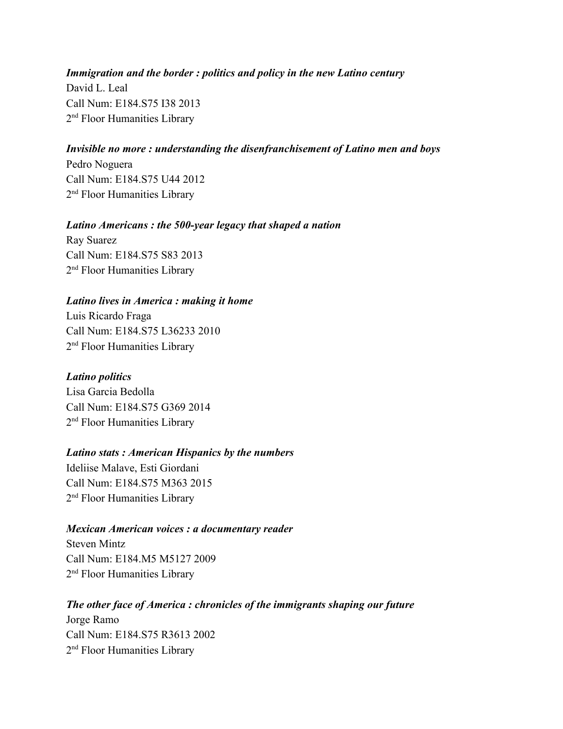## *Immigration and the border : politics and policy in the new Latino century* David L. Leal Call Num: E184.S75 I38 2013 2<sup>nd</sup> Floor Humanities Library

#### *Invisible no more : understanding the disenfranchisement of Latino men and boys*

Pedro Noguera Call Num: E184.S75 U44 2012 2<sup>nd</sup> Floor Humanities Library

#### *Latino Americans : the 500-year legacy that shaped a nation*

Ray Suarez Call Num: E184.S75 S83 2013 2<sup>nd</sup> Floor Humanities Library

#### *Latino lives in America : making it home*

Luis Ricardo Fraga Call Num: E184.S75 L36233 2010 2<sup>nd</sup> Floor Humanities Library

#### *Latino politics*

Lisa Garcia Bedolla Call Num: E184.S75 G369 2014 2<sup>nd</sup> Floor Humanities Library

#### *Latino stats : American Hispanics by the numbers*

Ideliise Malave, Esti Giordani Call Num: E184.S75 M363 2015 2<sup>nd</sup> Floor Humanities Library

#### *Mexican American voices : a documentary reader*

Steven Mintz Call Num: E184.M5 M5127 2009 2<sup>nd</sup> Floor Humanities Library

#### *The other face of America : chronicles of the immigrants shaping our future*

Jorge Ramo Call Num: E184.S75 R3613 2002 2<sup>nd</sup> Floor Humanities Library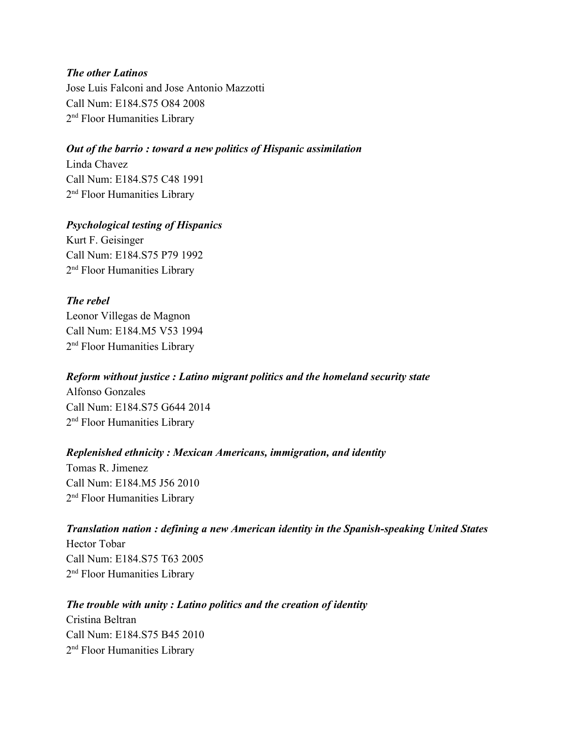#### *The other Latinos*

Jose Luis Falconi and Jose Antonio Mazzotti Call Num: E184.S75 O84 2008 2<sup>nd</sup> Floor Humanities Library

#### *Out of the barrio : toward a new politics of Hispanic assimilation*

Linda Chavez Call Num: E184.S75 C48 1991 2<sup>nd</sup> Floor Humanities Library

#### *Psychological testing of Hispanics*

Kurt F. Geisinger Call Num: E184.S75 P79 1992 2<sup>nd</sup> Floor Humanities Library

### *The rebel*

Leonor Villegas de Magnon Call Num: E184.M5 V53 1994 2<sup>nd</sup> Floor Humanities Library

#### *Reform without justice : Latino migrant politics and the homeland security state*

Alfonso Gonzales Call Num: E184.S75 G644 2014 2<sup>nd</sup> Floor Humanities Library

#### *Replenished ethnicity : Mexican Americans, immigration, and identity*

Tomas R. Jimenez Call Num: E184.M5 J56 2010 2<sup>nd</sup> Floor Humanities Library

## *Translation nation : defining a new American identity in the Spanish-speaking United States*

Hector Tobar Call Num: E184.S75 T63 2005 2<sup>nd</sup> Floor Humanities Library

#### *The trouble with unity : Latino politics and the creation of identity*

Cristina Beltran Call Num: E184.S75 B45 2010 2<sup>nd</sup> Floor Humanities Library